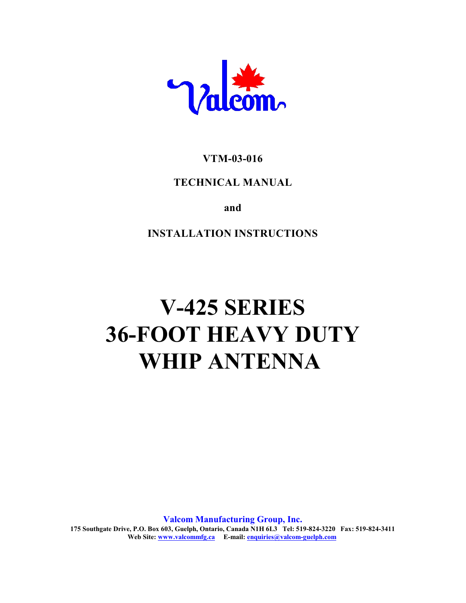

# **VTM-03-016**

# **TECHNICAL MANUAL**

**and**

**INSTALLATION INSTRUCTIONS**

# **V-425 SERIES 36-FOOT HEAVY DUTY WHIP ANTENNA**

**Valcom Manufacturing Group, Inc. 175 Southgate Drive, P.O. Box 603, Guelph, Ontario, Canada N1H 6L3 Tel: 519-824-3220 Fax: 519-824-3411 Web Site: www.valcommfg.ca E-mail: enquiries@valcom-guelph.com**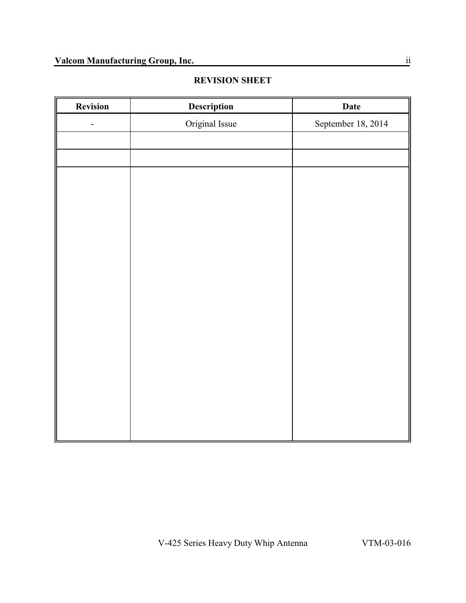# **REVISION SHEET**

| Revision | Description    | Date               |
|----------|----------------|--------------------|
| -        | Original Issue | September 18, 2014 |
|          |                |                    |
|          |                |                    |
|          |                |                    |
|          |                |                    |
|          |                |                    |
|          |                |                    |
|          |                |                    |
|          |                |                    |
|          |                |                    |
|          |                |                    |
|          |                |                    |
|          |                |                    |
|          |                |                    |
|          |                |                    |
|          |                |                    |
|          |                |                    |
|          |                |                    |
|          |                |                    |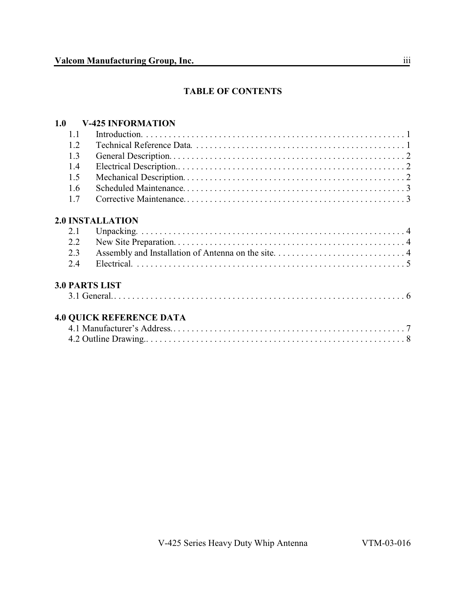# **TABLE OF CONTENTS**

# **1.0 V-425 INFORMATION**

| 1.1 |                                 |
|-----|---------------------------------|
| 1.2 |                                 |
| 1.3 |                                 |
| 1.4 |                                 |
| 1.5 |                                 |
| 1.6 |                                 |
| 1.7 |                                 |
|     | <b>2.0 INSTALLATION</b>         |
| 2.1 |                                 |
| 2.2 |                                 |
| 2.3 |                                 |
| 2.4 |                                 |
|     | <b>3.0 PARTS LIST</b>           |
|     |                                 |
|     | <b>4.0 QUICK REFERENCE DATA</b> |
|     |                                 |
|     |                                 |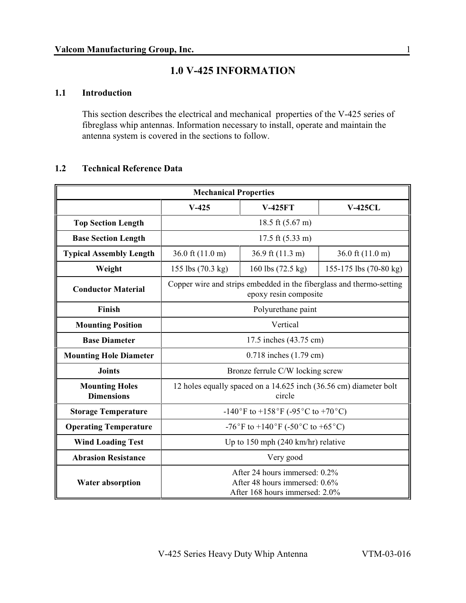# **1.0 V-425 INFORMATION**

#### **1.1 Introduction**

This section describes the electrical and mechanical properties of the V-425 series of fibreglass whip antennas. Information necessary to install, operate and maintain the antenna system is covered in the sections to follow.

### **1.2 Technical Reference Data**

| <b>Mechanical Properties</b>               |                                                                                                  |                   |                            |  |
|--------------------------------------------|--------------------------------------------------------------------------------------------------|-------------------|----------------------------|--|
|                                            | $V-425$                                                                                          | <b>V-425FT</b>    | <b>V-425CL</b>             |  |
| <b>Top Section Length</b>                  | 18.5 ft $(5.67 \text{ m})$                                                                       |                   |                            |  |
| <b>Base Section Length</b>                 | 17.5 ft $(5.33 \text{ m})$                                                                       |                   |                            |  |
| <b>Typical Assembly Length</b>             | 36.0 ft (11.0 m)                                                                                 | 36.9 ft (11.3 m)  | 36.0 ft $(11.0 \text{ m})$ |  |
| Weight                                     | 155 lbs (70.3 kg)                                                                                | 160 lbs (72.5 kg) | 155-175 lbs (70-80 kg)     |  |
| <b>Conductor Material</b>                  | Copper wire and strips embedded in the fiberglass and thermo-setting<br>epoxy resin composite    |                   |                            |  |
| Finish                                     | Polyurethane paint                                                                               |                   |                            |  |
| <b>Mounting Position</b>                   | Vertical                                                                                         |                   |                            |  |
| <b>Base Diameter</b>                       | 17.5 inches (43.75 cm)                                                                           |                   |                            |  |
| <b>Mounting Hole Diameter</b>              | $0.718$ inches $(1.79$ cm)                                                                       |                   |                            |  |
| <b>Joints</b>                              | Bronze ferrule C/W locking screw                                                                 |                   |                            |  |
| <b>Mounting Holes</b><br><b>Dimensions</b> | 12 holes equally spaced on a 14.625 inch (36.56 cm) diameter bolt<br>circle                      |                   |                            |  |
| <b>Storage Temperature</b>                 | -140°F to +158°F (-95°C to +70°C)                                                                |                   |                            |  |
| <b>Operating Temperature</b>               | -76°F to +140°F (-50°C to +65°C)                                                                 |                   |                            |  |
| <b>Wind Loading Test</b>                   | Up to 150 mph $(240 \text{ km/hr})$ relative                                                     |                   |                            |  |
| <b>Abrasion Resistance</b>                 | Very good                                                                                        |                   |                            |  |
| <b>Water absorption</b>                    | After 24 hours immersed: 0.2%<br>After 48 hours immersed: 0.6%<br>After 168 hours immersed: 2.0% |                   |                            |  |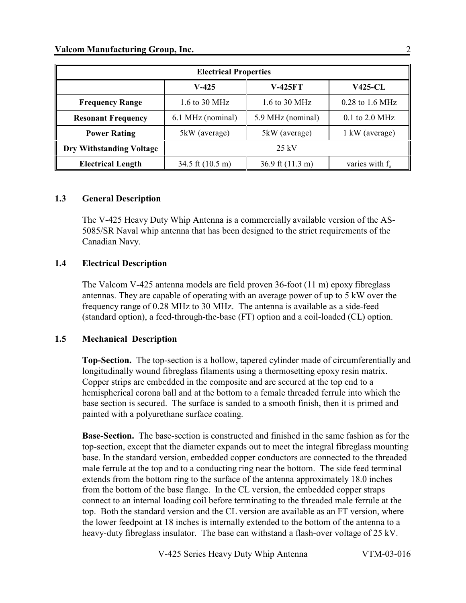| <b>Electrical Properties</b>    |                            |                              |                   |  |  |
|---------------------------------|----------------------------|------------------------------|-------------------|--|--|
|                                 | $V-425$                    | <b>V-425FT</b>               | <b>V425-CL</b>    |  |  |
| <b>Frequency Range</b>          | $1.6$ to 30 MHz            | 1.6 to 30 MHz                | $0.28$ to 1.6 MHz |  |  |
| <b>Resonant Frequency</b>       | 6.1 MHz (nominal)          | 5.9 MHz (nominal)            | 0.1 to 2.0 MHz    |  |  |
| <b>Power Rating</b>             | 5kW (average)              | 5kW (average)                | 1 kW (average)    |  |  |
| <b>Dry Withstanding Voltage</b> | $25 \text{ kV}$            |                              |                   |  |  |
| <b>Electrical Length</b>        | 34.5 ft $(10.5 \text{ m})$ | $36.9$ ft $(11.3 \text{ m})$ | varies with $f_0$ |  |  |

#### **1.3 General Description**

The V-425 Heavy Duty Whip Antenna is a commercially available version of the AS-5085/SR Naval whip antenna that has been designed to the strict requirements of the Canadian Navy.

#### **1.4 Electrical Description**

The Valcom V-425 antenna models are field proven 36-foot (11 m) epoxy fibreglass antennas. They are capable of operating with an average power of up to 5 kW over the frequency range of 0.28 MHz to 30 MHz. The antenna is available as a side-feed (standard option), a feed-through-the-base (FT) option and a coil-loaded (CL) option.

#### **1.5 Mechanical Description**

**Top-Section.** The top-section is a hollow, tapered cylinder made of circumferentially and longitudinally wound fibreglass filaments using a thermosetting epoxy resin matrix. Copper strips are embedded in the composite and are secured at the top end to a hemispherical corona ball and at the bottom to a female threaded ferrule into which the base section is secured. The surface is sanded to a smooth finish, then it is primed and painted with a polyurethane surface coating.

**Base-Section.** The base-section is constructed and finished in the same fashion as for the top-section, except that the diameter expands out to meet the integral fibreglass mounting base. In the standard version, embedded copper conductors are connected to the threaded male ferrule at the top and to a conducting ring near the bottom. The side feed terminal extends from the bottom ring to the surface of the antenna approximately 18.0 inches from the bottom of the base flange. In the CL version, the embedded copper straps connect to an internal loading coil before terminating to the threaded male ferrule at the top. Both the standard version and the CL version are available as an FT version, where the lower feedpoint at 18 inches is internally extended to the bottom of the antenna to a heavy-duty fibreglass insulator. The base can withstand a flash-over voltage of 25 kV.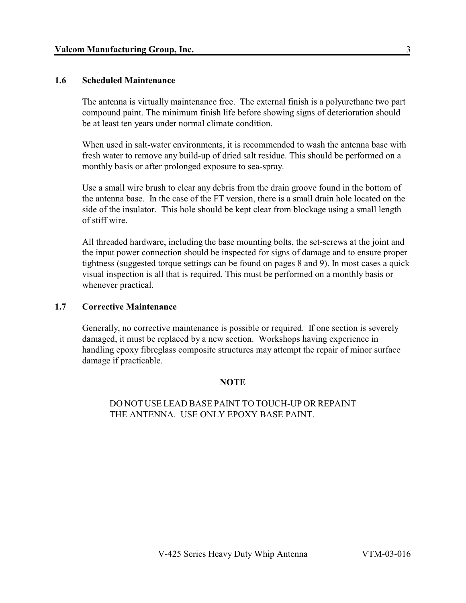#### **1.6 Scheduled Maintenance**

The antenna is virtually maintenance free. The external finish is a polyurethane two part compound paint. The minimum finish life before showing signs of deterioration should be at least ten years under normal climate condition.

 When used in salt-water environments, it is recommended to wash the antenna base with fresh water to remove any build-up of dried salt residue. This should be performed on a monthly basis or after prolonged exposure to sea-spray.

Use a small wire brush to clear any debris from the drain groove found in the bottom of the antenna base. In the case of the FT version, there is a small drain hole located on the side of the insulator. This hole should be kept clear from blockage using a small length of stiff wire.

All threaded hardware, including the base mounting bolts, the set-screws at the joint and the input power connection should be inspected for signs of damage and to ensure proper tightness (suggested torque settings can be found on pages 8 and 9). In most cases a quick visual inspection is all that is required. This must be performed on a monthly basis or whenever practical.

#### **1.7 Corrective Maintenance**

Generally, no corrective maintenance is possible or required. If one section is severely damaged, it must be replaced by a new section. Workshops having experience in handling epoxy fibreglass composite structures may attempt the repair of minor surface damage if practicable.

#### **NOTE**

#### DO NOT USE LEAD BASE PAINT TO TOUCH-UP OR REPAINT THE ANTENNA. USE ONLY EPOXY BASE PAINT.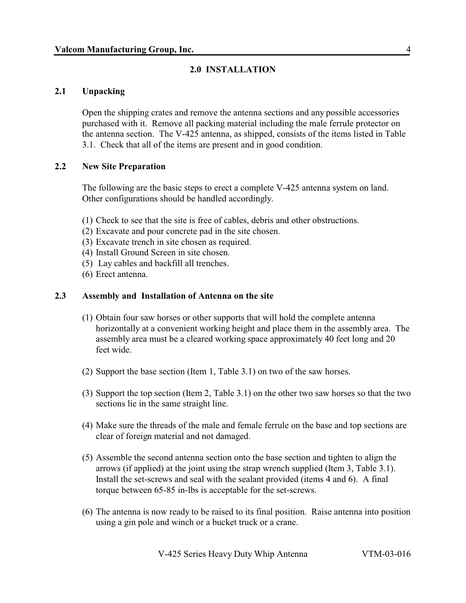#### **2.0 INSTALLATION**

#### **2.1 Unpacking**

Open the shipping crates and remove the antenna sections and any possible accessories purchased with it. Remove all packing material including the male ferrule protector on the antenna section. The V-425 antenna, as shipped, consists of the items listed in Table 3.1. Check that all of the items are present and in good condition.

#### **2.2 New Site Preparation**

The following are the basic steps to erect a complete V-425 antenna system on land. Other configurations should be handled accordingly.

- (1) Check to see that the site is free of cables, debris and other obstructions.
- (2) Excavate and pour concrete pad in the site chosen.
- (3) Excavate trench in site chosen as required.
- (4) Install Ground Screen in site chosen.
- (5) Lay cables and backfill all trenches.
- (6) Erect antenna.

#### **2.3 Assembly and Installation of Antenna on the site**

- (1) Obtain four saw horses or other supports that will hold the complete antenna horizontally at a convenient working height and place them in the assembly area. The assembly area must be a cleared working space approximately 40 feet long and 20 feet wide.
- (2) Support the base section (Item 1, Table 3.1) on two of the saw horses.
- (3) Support the top section (Item 2, Table 3.1) on the other two saw horses so that the two sections lie in the same straight line.
- (4) Make sure the threads of the male and female ferrule on the base and top sections are clear of foreign material and not damaged.
- (5) Assemble the second antenna section onto the base section and tighten to align the arrows (if applied) at the joint using the strap wrench supplied (Item 3, Table 3.1). Install the set-screws and seal with the sealant provided (items 4 and 6). A final torque between 65-85 in-lbs is acceptable for the set-screws.
- (6) The antenna is now ready to be raised to its final position. Raise antenna into position using a gin pole and winch or a bucket truck or a crane.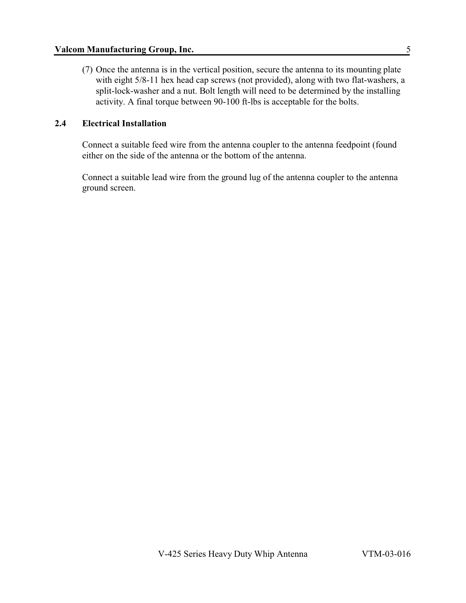(7) Once the antenna is in the vertical position, secure the antenna to its mounting plate with eight 5/8-11 hex head cap screws (not provided), along with two flat-washers, a split-lock-washer and a nut. Bolt length will need to be determined by the installing activity. A final torque between 90-100 ft-lbs is acceptable for the bolts.

#### **2.4 Electrical Installation**

Connect a suitable feed wire from the antenna coupler to the antenna feedpoint (found either on the side of the antenna or the bottom of the antenna.

Connect a suitable lead wire from the ground lug of the antenna coupler to the antenna ground screen.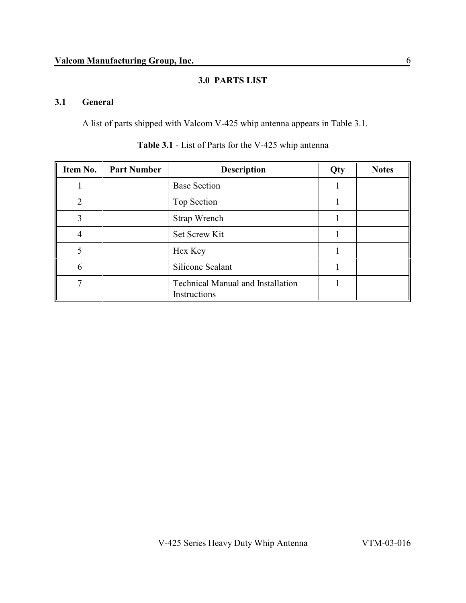### **3.0 PARTS LIST**

#### **3.1 General**

A list of parts shipped with Valcom V-425 whip antenna appears in Table 3.1.

| Item No.       | <b>Part Number</b> | <b>Description</b>                                       | Qty | <b>Notes</b> |
|----------------|--------------------|----------------------------------------------------------|-----|--------------|
|                |                    | <b>Base Section</b>                                      |     |              |
| $\overline{2}$ |                    | Top Section                                              |     |              |
| $\overline{3}$ |                    | Strap Wrench                                             |     |              |
|                |                    | Set Screw Kit                                            |     |              |
| 5              |                    | Hex Key                                                  |     |              |
| 6              |                    | <b>Silicone Sealant</b>                                  |     |              |
| ⇁              |                    | <b>Technical Manual and Installation</b><br>Instructions |     |              |

**Table 3.1** - List of Parts for the V-425 whip antenna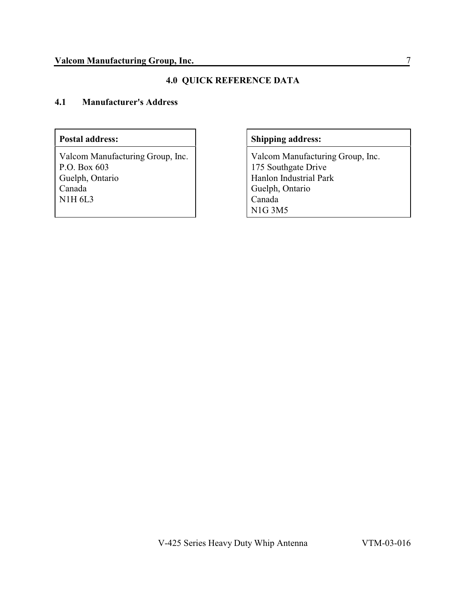# **4.0 QUICK REFERENCE DATA**

### **4.1 Manufacturer's Address**

Valcom Manufacturing Group, Inc. P.O. Box 603 Guelph, Ontario Canada N1H 6L3

# Postal address: **Shipping address:**

Valcom Manufacturing Group, Inc. 175 Southgate Drive Hanlon Industrial Park Guelph, Ontario Canada N1G 3M5